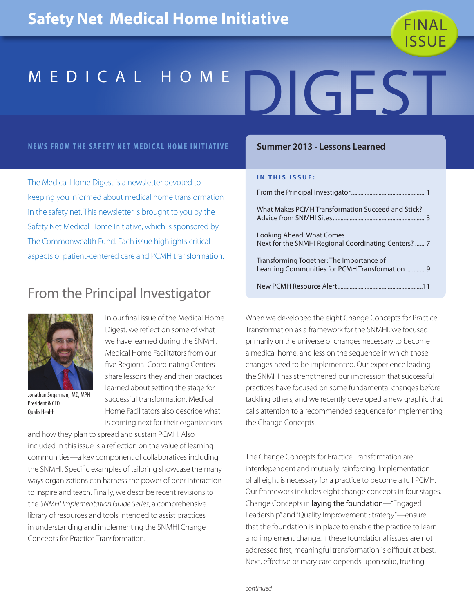

### **NEWS FROM THE SAFETY NET MEDICAL HOME INITIATIVE**

The Medical Home Digest is a newsletter devoted to keeping you informed about medical home transformation in the safety net. This newsletter is brought to you by the Safety Net Medical Home Initiative, which is sponsored by The Commonwealth Fund. Each issue highlights critical aspects of patient-centered care and PCMH transformation.

## From the Principal Investigator



Jonathan Sugarman, MD, MPH President & CEO, Qualis Health

In our final issue of the Medical Home Digest, we reflect on some of what we have learned during the SNMHI. Medical Home Facilitators from our five Regional Coordinating Centers share lessons they and their practices learned about setting the stage for successful transformation. Medical Home Facilitators also describe what is coming next for their organizations

and how they plan to spread and sustain PCMH. Also included in this issue is a reflection on the value of learning communities—a key component of collaboratives including the SNMHI. Specific examples of tailoring showcase the many ways organizations can harness the power of peer interaction to inspire and teach. Finally, we describe recent revisions to the *SNMHI Implementation Guide Series*, a comprehensive library of resources and tools intended to assist practices in understanding and implementing the SNMHI Change Concepts for Practice Transformation.

### **Summer 2013 - Lessons Learned**

### **IN THIS ISSUE:**

| What Makes PCMH Transformation Succeed and Stick?                                           |
|---------------------------------------------------------------------------------------------|
| Looking Ahead: What Comes<br>Next for the SNMHI Regional Coordinating Centers? 7            |
| Transforming Together: The Importance of<br>Learning Communities for PCMH Transformation  9 |
|                                                                                             |

When we developed the eight Change Concepts for Practice Transformation as a framework for the SNMHI, we focused primarily on the universe of changes necessary to become a medical home, and less on the sequence in which those changes need to be implemented. Our experience leading the SNMHI has strengthened our impression that successful practices have focused on some fundamental changes before tackling others, and we recently developed a new graphic that calls attention to a recommended sequence for implementing the Change Concepts.

The Change Concepts for Practice Transformation are interdependent and mutually-reinforcing. Implementation of all eight is necessary for a practice to become a full PCMH. Our framework includes eight change concepts in four stages. Change Concepts in laying the foundation—"Engaged Leadership" and "Quality Improvement Strategy"—ensure that the foundation is in place to enable the practice to learn and implement change. If these foundational issues are not addressed first, meaningful transformation is difficult at best. Next, effective primary care depends upon solid, trusting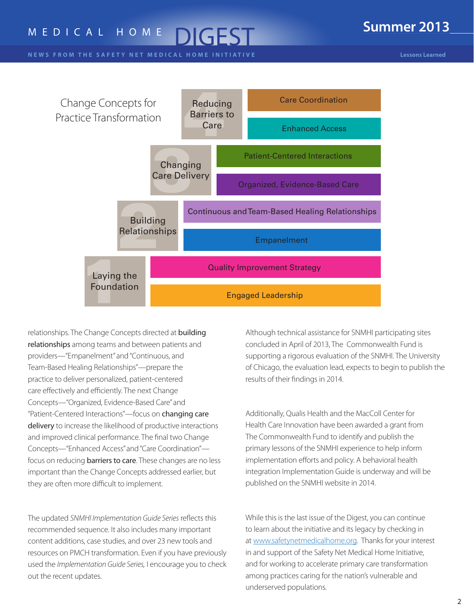### **Summer 2013**

**N E W S FROM THE SAFETY NET MEDICAL HOME INITIATIVE** 



relationships. The Change Concepts directed at building relationships among teams and between patients and providers—"Empanelment" and "Continuous, and Team-Based Healing Relationships"—prepare the practice to deliver personalized, patient-centered care effectively and efficiently. The next Change Concepts—"Organized, Evidence-Based Care" and "Patient-Centered Interactions"—focus on changing care delivery to increase the likelihood of productive interactions and improved clinical performance. The final two Change Concepts—"Enhanced Access" and "Care Coordination" focus on reducing barriers to care. These changes are no less important than the Change Concepts addressed earlier, but they are often more difficult to implement.

The updated *SNMHI Implementation Guide Series* reflects this recommended sequence. It also includes many important content additions, case studies, and over 23 new tools and resources on PMCH transformation. Even if you have previously used the *Implementation Guide Series,* I encourage you to check out the recent updates.

Although technical assistance for SNMHI participating sites concluded in April of 2013, The Commonwealth Fund is supporting a rigorous evaluation of the SNMHI. The University of Chicago, the evaluation lead, expects to begin to publish the results of their findings in 2014.

Additionally, Qualis Health and the MacColl Center for Health Care Innovation have been awarded a grant from The Commonwealth Fund to identify and publish the primary lessons of the SNMHI experience to help inform implementation efforts and policy. A behavioral health integration Implementation Guide is underway and will be published on the SNMHI website in 2014.

While this is the last issue of the Digest, you can continue to learn about the initiative and its legacy by checking in at www[.safetynetmedicalhome.org](http://www.safetynetmedicalhome.org). Thanks for your interest in and support of the Safety Net Medical Home Initiative, and for working to accelerate primary care transformation among practices caring for the nation's vulnerable and underserved populations.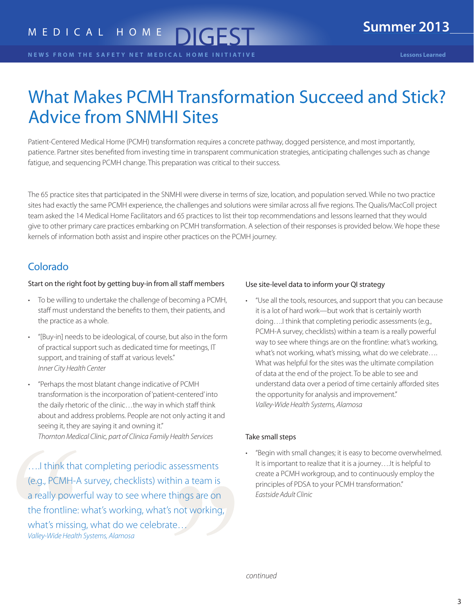#### <span id="page-2-0"></span>**N E W S F R O M T H E S A F E T Y N E T M E D I C A L H O M E I N I T I A T I V E Lessons Learned**

# What Makes PCMH Transformation Succeed and Stick? Advice from SNMHI Sites

Patient-Centered Medical Home (PCMH) transformation requires a concrete pathway, dogged persistence, and most importantly, patience. Partner sites benefited from investing time in transparent communication strategies, anticipating challenges such as change fatigue, and sequencing PCMH change. This preparation was critical to their success.

The 65 practice sites that participated in the SNMHI were diverse in terms of size, location, and population served. While no two practice sites had exactly the same PCMH experience, the challenges and solutions were similar across all five regions. The Qualis/MacColl project team asked the 14 Medical Home Facilitators and 65 practices to list their top recommendations and lessons learned that they would give to other primary care practices embarking on PCMH transformation. A selection of their responses is provided below. We hope these kernels of information both assist and inspire other practices on the PCMH journey.

### Colorado

### Start on the right foot by getting buy-in from all staff members

- To be willing to undertake the challenge of becoming a PCMH, staff must understand the benefits to them, their patients, and the practice as a whole.
- "[Buy-in] needs to be ideological, of course, but also in the form of practical support such as dedicated time for meetings, IT support, and training of staff at various levels." *Inner City Health Center*
- "Perhaps the most blatant change indicative of PCMH transformation is the incorporation of 'patient-centered' into the daily rhetoric of the clinic…the way in which staff think about and address problems. People are not only acting it and seeing it, they are saying it and owning it." *Thornton Medical Clinic, part of Clinica Family Health Services*

….I think that completing periodic assessments (e.g., PCMH-A survey, checklists) within a team is a really powerful way to see where things are on the frontline: what's working, what's not working, what's missing, what do we celebrate… *Valley-Wide Health Systems, Alamosa*

### Use site-level data to inform your QI strategy

• "Use all the tools, resources, and support that you can because it is a lot of hard work—but work that is certainly worth doing….I think that completing periodic assessments (e.g., PCMH-A survey, checklists) within a team is a really powerful way to see where things are on the frontline: what's working, what's not working, what's missing, what do we celebrate…. What was helpful for the sites was the ultimate compilation of data at the end of the project. To be able to see and understand data over a period of time certainly afforded sites the opportunity for analysis and improvement." *Valley-Wide Health Systems, Alamosa*

### Take small steps

• "Begin with small changes; it is easy to become overwhelmed. It is important to realize that it is a journey….It is helpful to create a PCMH workgroup, and to continuously employ the principles of PDSA to your PCMH transformation." *Eastside Adult Clinic*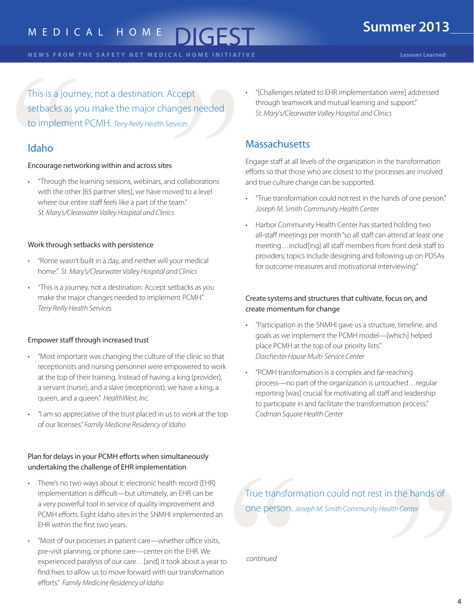This is a journey, not a destination. Accept setbacks as you make the major changes needed to implement PCMH. *Terry Reilly Health Services*

### Idaho

### Encourage networking within and across sites

• "Through the learning sessions, webinars, and collaborations with the other [65 partner sites], we have moved to a level where our entire staff feels like a part of the team." *St. Mary's/Clearwater Valley Hospital and Clinics* 

### Work through setbacks with persistence

- "Rome wasn't built in a day, and neither will your medical home." *St. Mary's/Clearwater Valley Hospital and Clinics*
- "This is a journey, not a destination. Accept setbacks as you make the major changes needed to implement PCMH." *Terry Reilly Health Services*

### Empower staff through increased trust

- "Most important was changing the culture of the clinic so that receptionists and nursing personnel were empowered to work at the top of their training. Instead of having a king (provider), a servant (nurse), and a slave (receptionist), we have a king, a queen, and a queen." *HealthWest, Inc.*
- "I am so appreciative of the trust placed in us to work at the top of our licenses." *Family Medicine Residency of Idaho*

### Plan for delays in your PCMH efforts when simultaneously undertaking the challenge of EHR implementation

- There's no two ways about it: electronic health record (EHR) implementation is difficult—but ultimately, an EHR can be a very powerful tool in service of quality improvement and PCMH efforts. Eight Idaho sites in the SNMHI implemented an EHR within the first two years.
- "Most of our processes in patient care—whether office visits, pre-visit planning, or phone care—center on the EHR. We experienced paralysis of our care…[and] it took about a year to find fixes to allow us to move forward with our transformation efforts." *Family Medicine Residency of Idaho*

• "[Challenges related to EHR implementation were] addressed through teamwork and mutual learning and support." *St. Mary's/Clearwater Valley Hospital and Clinics*

### **Massachusetts**

Engage staff at all levels of the organization in the transformation efforts so that those who are closest to the processes are involved and true culture change can be supported.

- "True transformation could not rest in the hands of one person." *Joseph M. Smith Community Health Center*
- Harbor Community Health Center has started holding two all-staff meetings per month "so all staff can attend at least one meeting…includ[ing] all staff members from front desk staff to providers; topics include designing and following up on PDSAs for outcome measures and motivational interviewing."

### Create systems and structures that cultivate, focus on, and create momentum for change

- "Participation in the SNMHI gave us a structure, timeline, and goals as we implement the PCMH model—[which] helped place PCMH at the top of our priority lists." *Dorchester House Multi-Service Center*
- "PCMH transformation is a complex and far-reaching process—no part of the organization is untouched…regular reporting [was] crucial for motivating all staff and leadership to participate in and facilitate the transformation process." *Codman Square Health Center*

True transformation could not rest in the hands of one person. *Joseph M. Smith Community Health Center*

*continued*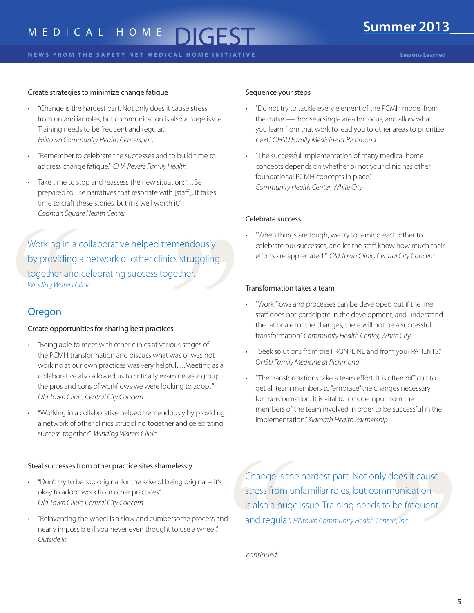### Create strategies to minimize change fatigue

- "Change is the hardest part. Not only does it cause stress from unfamiliar roles, but communication is also a huge issue. Training needs to be frequent and regular." *Hilltown Community Health Centers, Inc.*
- "Remember to celebrate the successes and to build time to address change fatigue." *CHA Revere Family Health*
- Take time to stop and reassess the new situation: "…Be prepared to use narratives that resonate with [staff ]. It takes time to craft these stories, but it is well worth it." *Codman Square Health Center*

Working in a collaborative helped tremendously by providing a network of other clinics struggling together and celebrating success together. *Winding Waters Clinic*

### Oregon

#### Create opportunities for sharing best practices

- "Being able to meet with other clinics at various stages of the PCMH transformation and discuss what was or was not working at our own practices was very helpful….Meeting as a collaborative also allowed us to critically examine, as a group, the pros and cons of workflows we were looking to adopt." *Old Town Clinic, Central City Concern*
- "Working in a collaborative helped tremendously by providing a network of other clinics struggling together and celebrating success together." *Winding Waters Clinic*

#### Steal successes from other practice sites shamelessly

- "Don't try to be too original for the sake of being original it's okay to adopt work from other practices." *Old Town Clinic, Central City Concern*
- "Reinventing the wheel is a slow and cumbersome process and nearly impossible if you never even thought to use a wheel." *Outside In*

#### Sequence your steps

- "Do not try to tackle every element of the PCMH model from the outset—choose a single area for focus, and allow what you learn from that work to lead you to other areas to prioritize next." *OHSU Family Medicine at Richmond*
- "The successful implementation of many medical home concepts depends on whether or not your clinic has other foundational PCMH concepts in place." *Community Health Center, White City*

#### Celebrate success

• "When things are tough, we try to remind each other to celebrate our successes, and let the staff know how much their efforts are appreciated!" *Old Town Clinic, Central City Concern*

#### Transformation takes a team

- "Work flows and processes can be developed but if the line staff does not participate in the development, and understand the rationale for the changes, there will not be a successful transformation." *Community Health Center, White City*
- "Seek solutions from the FRONTLINE and from your PATIENTS." *OHSU Family Medicine at Richmond*
- "The transformations take a team effort. It is often difficult to get all team members to "embrace" the changes necessary for transformation. It is vital to include input from the members of the team involved in order to be successful in the implementation." *Klamath Health Partnership*

Change is the hardest part. Not only does it cause stress from unfamiliar roles, but communication is also a huge issue. Training needs to be frequent and regular. *Hilltown Community Health Centers, Inc.* 

*continued*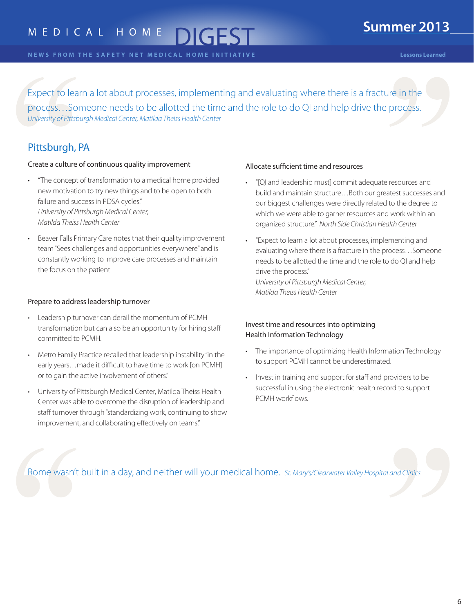# M E D I C A L H O M E

**N E W S F R O M T H E S A F E T Y N E T M E D I C A L H O M E I N I T I A T I V E Lessons Learned**

Expect to learn a lot about processes, implementing and evaluating where there is a fracture in the process…Someone needs to be allotted the time and the role to do QI and help drive the process. *University of Pittsburgh Medical Center, Matilda Theiss Health Center*

### Pittsburgh, PA

### Create a culture of continuous quality improvement

- "The concept of transformation to a medical home provided new motivation to try new things and to be open to both failure and success in PDSA cycles." *University of Pittsburgh Medical Center, Matilda Theiss Health Center*
- Beaver Falls Primary Care notes that their quality improvement team "Sees challenges and opportunities everywhere" and is constantly working to improve care processes and maintain the focus on the patient.

### Prepare to address leadership turnover

- Leadership turnover can derail the momentum of PCMH transformation but can also be an opportunity for hiring staff committed to PCMH.
- Metro Family Practice recalled that leadership instability "in the early years…made it difficult to have time to work [on PCMH] or to gain the active involvement of others."
- University of Pittsburgh Medical Center, Matilda Theiss Health Center was able to overcome the disruption of leadership and staff turnover through "standardizing work, continuing to show improvement, and collaborating effectively on teams."

### Allocate sufficient time and resources

- "[QI and leadership must] commit adequate resources and build and maintain structure…Both our greatest successes and our biggest challenges were directly related to the degree to which we were able to garner resources and work within an organized structure." *North Side Christian Health Center*
- "Expect to learn a lot about processes, implementing and evaluating where there is a fracture in the process…Someone needs to be allotted the time and the role to do QI and help drive the process." *University of Pittsburgh Medical Center,*

*Matilda Theiss Health Center*

### Invest time and resources into optimizing Health Information Technology

- The importance of optimizing Health Information Technology to support PCMH cannot be underestimated.
- Invest in training and support for staff and providers to be successful in using the electronic health record to support PCMH workflows.

Rome wasn't built in a day, and neither will your medical home. *St. Mary's/Clearwater Valley Hospital and Clinics*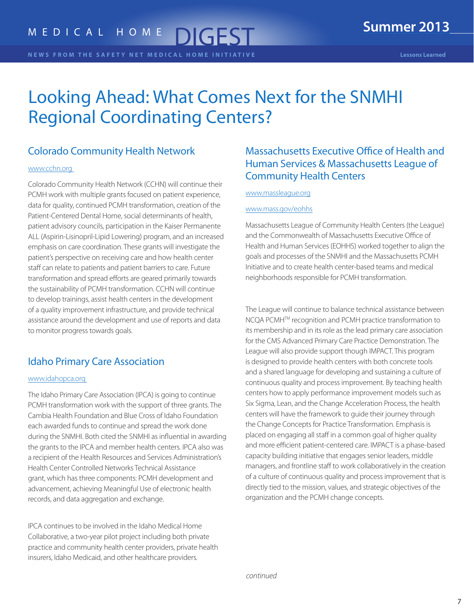# <span id="page-6-0"></span>Looking Ahead: What Comes Next for the SNMHI Regional Coordinating Centers?

### Colorado Community Health Network

### www.cchn.org

Colorado Community Health Network (CCHN) will continue their PCMH work with multiple grants focused on patient experience, data for quality, continued PCMH transformation, creation of the Patient-Centered Dental Home, social determinants of health, patient advisory councils, participation in the Kaiser Permanente ALL (Aspirin-Lisinopril-Lipid Lowering) program, and an increased emphasis on care coordination. These grants will investigate the patient's perspective on receiving care and how health center staff can relate to patients and patient barriers to care. Future transformation and spread efforts are geared primarily towards the sustainability of PCMH transformation. CCHN will continue to develop trainings, assist health centers in the development of a quality improvement infrastructure, and provide technical assistance around the development and use of reports and data to monitor progress towards goals.

### Idaho Primary Care Association

### www.idahopca.org

The Idaho Primary Care Association (IPCA) is going to continue PCMH transformation work with the support of three grants. The Cambia Health Foundation and Blue Cross of Idaho Foundation each awarded funds to continue and spread the work done during the SNMHI. Both cited the SNMHI as influential in awarding the grants to the IPCA and member health centers. IPCA also was a recipient of the Health Resources and Services Administration's Health Center Controlled Networks Technical Assistance grant, which has three components: PCMH development and advancement, achieving Meaningful Use of electronic health records, and data aggregation and exchange.

IPCA continues to be involved in the Idaho Medical Home Collaborative, a two-year pilot project including both private practice and community health center providers, private health insurers, Idaho Medicaid, and other healthcare providers.

### Massachusetts Executive Office of Health and Human Services & Massachusetts League of Community Health Centers

#### www.massleague.org

#### www.mass.gov/eohhs

Massachusetts League of Community Health Centers (the League) and the Commonwealth of Massachusetts Executive Office of Health and Human Services (EOHHS) worked together to align the goals and processes of the SNMHI and the Massachusetts PCMH Initiative and to create health center-based teams and medical neighborhoods responsible for PCMH transformation.

The League will continue to balance technical assistance between NCQA PCMHTM recognition and PCMH practice transformation to its membership and in its role as the lead primary care association for the CMS Advanced Primary Care Practice Demonstration. The League will also provide support though IMPACT. This program is designed to provide health centers with both concrete tools and a shared language for developing and sustaining a culture of continuous quality and process improvement. By teaching health centers how to apply performance improvement models such as Six Sigma, Lean, and the Change Acceleration Process, the health centers will have the framework to guide their journey through the Change Concepts for Practice Transformation. Emphasis is placed on engaging all staff in a common goal of higher quality and more efficient patient-centered care. IMPACT is a phase-based capacity building initiative that engages senior leaders, middle managers, and frontline staff to work collaboratively in the creation of a culture of continuous quality and process improvement that is directly tied to the mission, values, and strategic objectives of the organization and the PCMH change concepts.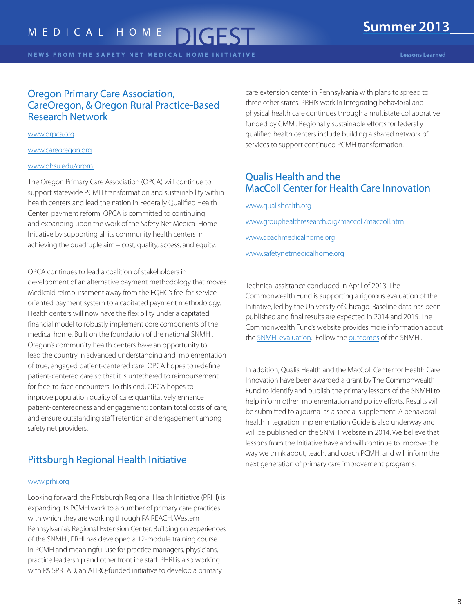**N E W S F R O M T H E S A F E T Y N E T M E D I C A L H O M E I N I T I A T I V E Lessons Learned**

### Oregon Primary Care Association, CareOregon, & Oregon Rural Practice-Based Research Network

#### www.orpca.org

www.careoregon.org

### www.ohsu.edu/orprn

The Oregon Primary Care Association (OPCA) will continue to support statewide PCMH transformation and sustainability within health centers and lead the nation in Federally Qualified Health Center payment reform. OPCA is committed to continuing and expanding upon the work of the Safety Net Medical Home Initiative by supporting all its community health centers in achieving the quadruple aim – cost, quality, access, and equity.

OPCA continues to lead a coalition of stakeholders in development of an alternative payment methodology that moves Medicaid reimbursement away from the FQHC's fee-for-serviceoriented payment system to a capitated payment methodology. Health centers will now have the flexibility under a capitated financial model to robustly implement core components of the medical home. Built on the foundation of the national SNMHI, Oregon's community health centers have an opportunity to lead the country in advanced understanding and implementation of true, engaged patient-centered care. OPCA hopes to redefine patient-centered care so that it is untethered to reimbursement for face-to-face encounters. To this end, OPCA hopes to improve population quality of care; quantitatively enhance patient-centeredness and engagement; contain total costs of care; and ensure outstanding staff retention and engagement among safety net providers.

### Pittsburgh Regional Health Initiative

### www.prhi.org

Looking forward, the Pittsburgh Regional Health Initiative (PRHI) is expanding its PCMH work to a number of primary care practices with which they are working through PA REACH, Western Pennsylvania's Regional Extension Center. Building on experiences of the SNMHI, PRHI has developed a 12-module training course in PCMH and meaningful use for practice managers, physicians, practice leadership and other frontline staff. PHRI is also working with PA SPREAD, an AHRQ-funded initiative to develop a primary

care extension center in Pennsylvania with plans to spread to three other states. PRHI's work in integrating behavioral and physical health care continues through a multistate collaborative funded by CMMI. Regionally sustainable efforts for federally qualified health centers include building a shared network of services to support continued PCMH transformation.

### Qualis Health and the MacColl Center for Health Care Innovation

www.qualishealth.org www.grouphealthresearch.org/maccoll/maccoll.html www.coachmedicalhome.org www.safetynetmedicalhome.org

Technical assistance concluded in April of 2013. The Commonwealth Fund is supporting a rigorous evaluation of the Initiative, led by the University of Chicago. Baseline data has been published and final results are expected in 2014 and 2015. The Commonwealth Fund's website provides more information about the [SNMHI evaluation.](http://www.commonwealthfund.org/Grants/2009/Nov/Safety-Net-Medical-Home-Initiative-Phase-2.aspx) Follow the [outcomes](http://www.safetynetmedicalhome.org/about-initiative/newsroom) of the SNMHI.

In addition, Qualis Health and the MacColl Center for Health Care Innovation have been awarded a grant by The Commonwealth Fund to identify and publish the primary lessons of the SNMHI to help inform other implementation and policy efforts. Results will be submitted to a journal as a special supplement. A behavioral health integration Implementation Guide is also underway and will be published on the SNMHI website in 2014. We believe that lessons from the Initiative have and will continue to improve the way we think about, teach, and coach PCMH, and will inform the next generation of primary care improvement programs.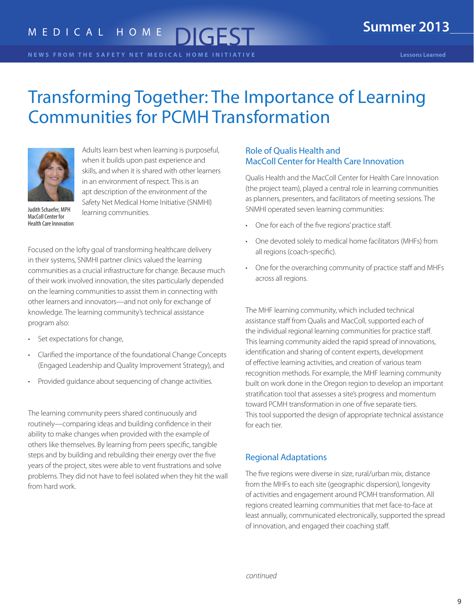# <span id="page-8-0"></span>Transforming Together: The Importance of Learning Communities for PCMH Transformation



Adults learn best when learning is purposeful, when it builds upon past experience and skills, and when it is shared with other learners in an environment of respect. This is an apt description of the environment of the Safety Net Medical Home Initiative (SNMHI) learning communities.

Judith Schaefer, MPH MacColl Center for Health Care Innovation

Focused on the lofty goal of transforming healthcare delivery in their systems, SNMHI partner clinics valued the learning communities as a crucial infrastructure for change. Because much of their work involved innovation, the sites particularly depended on the learning communities to assist them in connecting with other learners and innovators—and not only for exchange of knowledge. The learning community's technical assistance program also:

- Set expectations for change,
- Clarified the importance of the foundational Change Concepts (Engaged Leadership and Quality Improvement Strategy), and
- Provided guidance about sequencing of change activities.

The learning community peers shared continuously and routinely—comparing ideas and building confidence in their ability to make changes when provided with the example of others like themselves. By learning from peers specific, tangible steps and by building and rebuilding their energy over the five years of the project, sites were able to vent frustrations and solve problems. They did not have to feel isolated when they hit the wall from hard work.

### Role of Qualis Health and MacColl Center for Health Care Innovation

Qualis Health and the MacColl Center for Health Care Innovation (the project team), played a central role in learning communities as planners, presenters, and facilitators of meeting sessions. The SNMHI operated seven learning communities:

- One for each of the five regions' practice staff.
- One devoted solely to medical home facilitators (MHFs) from all regions (coach-specific).
- One for the overarching community of practice staff and MHFs across all regions.

The MHF learning community, which included technical assistance staff from Qualis and MacColl, supported each of the individual regional learning communities for practice staff. This learning community aided the rapid spread of innovations, identification and sharing of content experts, development of effective learning activities, and creation of various team recognition methods. For example, the MHF learning community built on work done in the Oregon region to develop an important stratification tool that assesses a site's progress and momentum toward PCMH transformation in one of five separate tiers. This tool supported the design of appropriate technical assistance for each tier.

### Regional Adaptations

The five regions were diverse in size, rural/urban mix, distance from the MHFs to each site (geographic dispersion), longevity of activities and engagement around PCMH transformation. All regions created learning communities that met face-to-face at least annually, communicated electronically, supported the spread of innovation, and engaged their coaching staff.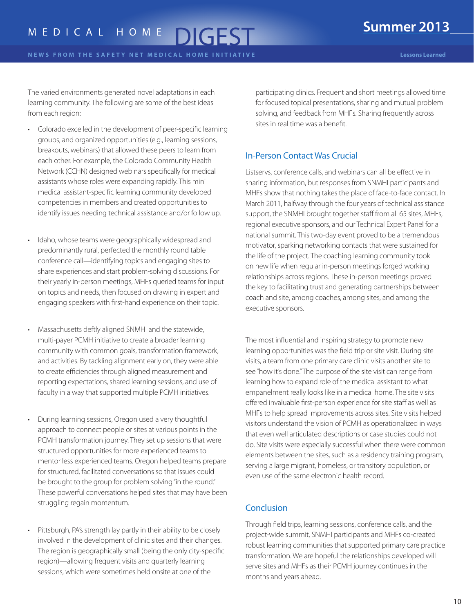The varied environments generated novel adaptations in each learning community. The following are some of the best ideas from each region:

- Colorado excelled in the development of peer-specific learning groups, and organized opportunities (e.g., learning sessions, breakouts, webinars) that allowed these peers to learn from each other. For example, the Colorado Community Health Network (CCHN) designed webinars specifically for medical assistants whose roles were expanding rapidly. This mini medical assistant-specific learning community developed competencies in members and created opportunities to identify issues needing technical assistance and/or follow up.
- Idaho, whose teams were geographically widespread and predominantly rural, perfected the monthly round table conference call—identifying topics and engaging sites to share experiences and start problem-solving discussions. For their yearly in-person meetings, MHFs queried teams for input on topics and needs, then focused on drawing in expert and engaging speakers with first-hand experience on their topic.
- Massachusetts deftly aligned SNMHI and the statewide, multi-payer PCMH initiative to create a broader learning community with common goals, transformation framework, and activities. By tackling alignment early on, they were able to create efficiencies through aligned measurement and reporting expectations, shared learning sessions, and use of faculty in a way that supported multiple PCMH initiatives.
- During learning sessions, Oregon used a very thoughtful approach to connect people or sites at various points in the PCMH transformation journey. They set up sessions that were structured opportunities for more experienced teams to mentor less experienced teams. Oregon helped teams prepare for structured, facilitated conversations so that issues could be brought to the group for problem solving "in the round." These powerful conversations helped sites that may have been struggling regain momentum.
- Pittsburgh, PA's strength lay partly in their ability to be closely involved in the development of clinic sites and their changes. The region is geographically small (being the only city-specific region)—allowing frequent visits and quarterly learning sessions, which were sometimes held onsite at one of the

participating clinics. Frequent and short meetings allowed time for focused topical presentations, sharing and mutual problem solving, and feedback from MHFs. Sharing frequently across sites in real time was a benefit.

### In-Person Contact Was Crucial

Listservs, conference calls, and webinars can all be effective in sharing information, but responses from SNMHI participants and MHFs show that nothing takes the place of face-to-face contact. In March 2011, halfway through the four years of technical assistance support, the SNMHI brought together staff from all 65 sites, MHFs, regional executive sponsors, and our Technical Expert Panel for a national summit. This two-day event proved to be a tremendous motivator, sparking networking contacts that were sustained for the life of the project. The coaching learning community took on new life when regular in-person meetings forged working relationships across regions. These in-person meetings proved the key to facilitating trust and generating partnerships between coach and site, among coaches, among sites, and among the executive sponsors.

The most influential and inspiring strategy to promote new learning opportunities was the field trip or site visit. During site visits, a team from one primary care clinic visits another site to see "how it's done." The purpose of the site visit can range from learning how to expand role of the medical assistant to what empanelment really looks like in a medical home. The site visits offered invaluable first-person experience for site staff as well as MHFs to help spread improvements across sites. Site visits helped visitors understand the vision of PCMH as operationalized in ways that even well articulated descriptions or case studies could not do. Site visits were especially successful when there were common elements between the sites, such as a residency training program, serving a large migrant, homeless, or transitory population, or even use of the same electronic health record.

### **Conclusion**

Through field trips, learning sessions, conference calls, and the project-wide summit, SNMHI participants and MHFs co-created robust learning communities that supported primary care practice transformation. We are hopeful the relationships developed will serve sites and MHFs as their PCMH journey continues in the months and years ahead.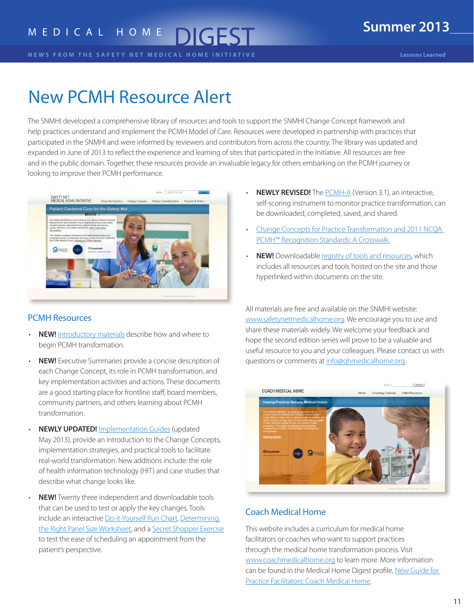<span id="page-10-0"></span>**N E W S F R O M T H E S A F E T Y N E T M E D I C A L H O M E I N I T I A T I V E Lessons Learned**

# New PCMH Resource Alert

The SNMHI developed a comprehensive library of resources and tools to support the SNMHI Change Concept framework and help practices understand and implement the PCMH Model of Care. Resources were developed in partnership with practices that participated in the SNMHI and were informed by reviewers and contributors from across the country. The library was updated and expanded in June of 2013 to reflect the experience and learning of sites that participated in the Initiative. All resources are free and in the public domain. Together, these resources provide an invaluable legacy for others embarking on the PCMH journey or looking to improve their PCMH performance.



### PCMH Resources

- **NEW!** [Introductory materials](http://www.safetynetmedicalhome.org/sites/default/files/Change-Concepts-for-Practice-Transformation.pdf) describe how and where to begin PCMH transformation.
- **NEW!** Executive Summaries provide a concise description of each Change Concept, its role in PCMH transformation, and key implementation activities and actions. These documents are a good starting place for frontline staff, board members, community partners, and others learning about PCMH transformation.
- **NEWLY UPDATED!** [Implementation Guides](http://www.safetynetmedicalhome.org/change-concepts) (updated May 2013), provide an introduction to the Change Concepts, implementation strategies, and practical tools to facilitate real-world transformation. New additions include: the role of health information technology (HIT) and case studies that describe what change looks like.
- **NEW!** Twenty three independent and downloadable tools that can be used to test or apply the key changes. Tools include an interactive [Do-it-Yourself Run Chart](http://www.safetynetmedicalhome.org/sites/default/files/Do-It-Yourself-Run-Chart-Tool.xls), [Determining](http://www.safetynetmedicalhome.org/sites/default/files/Right-Size-Panel.xls)  [the Right Panel Size Worksheet](http://www.safetynetmedicalhome.org/sites/default/files/Right-Size-Panel.xls), and a [Secret Shopper Exercise](http://www.safetynetmedicalhome.org/sites/default/files/Secret-Shopper.pdf) to test the ease of scheduling an appointment from the patient's perspective.
- **NEWLY REVISED!** The [PCMH-A](http://www.safetynetmedicalhome.org/sites/default/files/PCMH-A.pdf) (Version 3.1), an interactive, self-scoring instrument to monitor practice transformation, can be downloaded, completed, saved, and shared.
- [Change Concepts for Practice Transformation and 2011 NCQA](http://www.safetynetmedicalhome.org/sites/default/files/NCQA-Change-Concept-Crosswalk.pdf)  [PCMH™ Recognition Standards: A Crosswalk.](http://www.safetynetmedicalhome.org/sites/default/files/NCQA-Change-Concept-Crosswalk.pdf)
- **NEW!** Downloadable [registry of tools and resources,](http://www.safetynetmedicalhome.org/sites/default/files/All-Resources.xls) which includes all resources and tools hosted on the site and those hyperlinked within documents on the site.

All materials are free and available on the SNMHI website: www.safetynetmedicalhome.org. We encourage you to use and share these materials widely. We welcome your feedback and hope the second edition series will prove to be a valuable and useful resource to you and your colleagues. Please contact us with questions or comments at info@qhmedicalhome.org.



### Coach Medical Home

This website includes a curriculum for medical home facilitators or coaches who want to support practices through the medical home transformation process. Visit www.coachmedicalhome.org to learn more. More information can be found in the Medical Home Digest profile, [New Guide for](http://www.safetynetmedicalhome.org/sites/default/files/Medical-Home-Digest-Spring-2013.pdf#page=9)  [Practice Facilitators: Coach Medical Home](http://www.safetynetmedicalhome.org/sites/default/files/Medical-Home-Digest-Spring-2013.pdf#page=9).